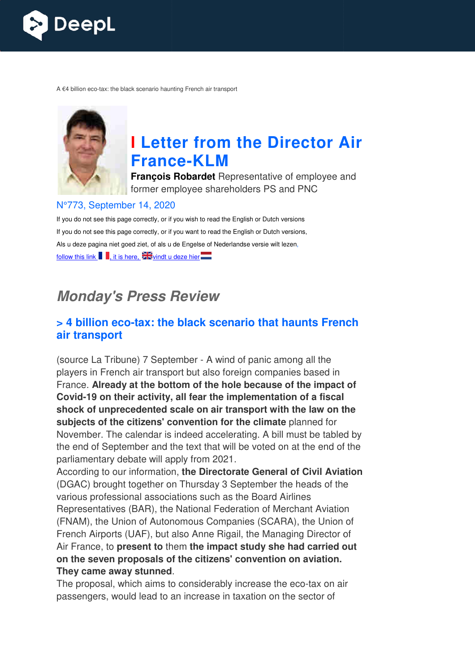

A €4 billion eco-tax: the black scenario haunting French air transport



# **I Letter from the Director Air France France-KLM**

**François Robardet** Representative of employee and former employee shareholders PS and PNC

#### N°773, September 14, 2020

If you do not see this page correctly, or if you wish to read the English or Dutch versions If you do not see this page correctly, or if you want to read the English or Dutch versions, Als u deze pagina niet goed ziet, of als u de Engelse of Nederlandse versie wilt lezen, follow this link  $\left| \cdot \right|$ , it is here,  $\frac{1}{2}$  windt u deze hier

# *Monday's Press Review*

#### **> 4 billion eco-tax: the black scenario that haunts French tax: air transport**

(source La Tribune) 7 September - A wind of panic among all the players in French air transport but also foreign companies based in France. **Already at the bottom of the hole because of the impact of**  Covid-19 on their activity, all fear the implementation of a fiscal **shock of unprecedented scale on air transport with the law on the subjects of the citizens' convention for the climate** planned for November. The calendar is indeed accelerating. A bill must be tabled by the end of September and the text that will be voted on at the end of the parliamentary debate will apply from 2021.

According to our information, **the Directorate General of Civil Aviation** (DGAC) brought together on Thursday 3 September the heads of the various professional associations such as the Board Airlines Representatives (BAR), the National Federation of Merchant Aviation (FNAM), the Union of Autonomous Companies (SCARA), the Union of French Airports (UAF), but also Anne Rigail, the Managing Director of Air France, to **present to** them **the impact study she had carried out mpact on the seven proposals of the citizens' convention on aviation. They came away stunned** .

The proposal, which aims to considerably increase the eco-tax on air passengers, would lead to an increase in taxation on the sector of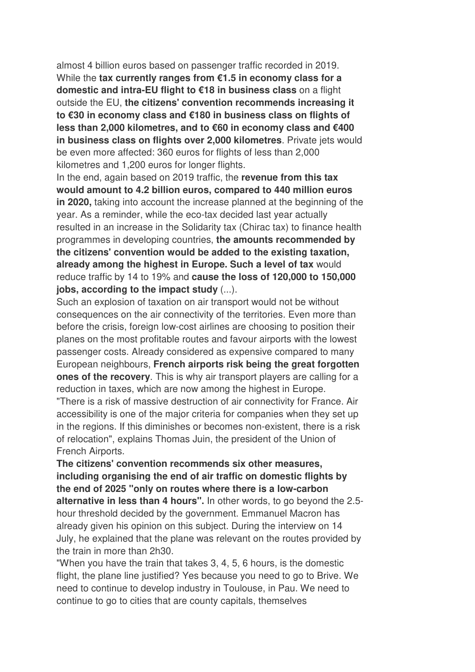almost 4 billion euros based on passenger traffic recorded in 2019. While the **tax currently ranges from €1.5 in economy class for a domestic and intra-EU flight to €18 in business class** on a flight outside the EU, **the citizens' convention recommends increasing it to €30 in economy class and €180 in business class on flights of less than 2,000 kilometres, and to €60 in economy class and €400 in business class on flights over 2,000 kilometres**. Private jets would be even more affected: 360 euros for flights of less than 2,000 kilometres and 1,200 euros for longer flights.

In the end, again based on 2019 traffic, the **revenue from this tax would amount to 4.2 billion euros, compared to 440 million euros in 2020,** taking into account the increase planned at the beginning of the year. As a reminder, while the eco-tax decided last year actually resulted in an increase in the Solidarity tax (Chirac tax) to finance health programmes in developing countries, **the amounts recommended by the citizens' convention would be added to the existing taxation, already among the highest in Europe. Such a level of tax** would reduce traffic by 14 to 19% and **cause the loss of 120,000 to 150,000 jobs, according to the impact study** (...).

Such an explosion of taxation on air transport would not be without consequences on the air connectivity of the territories. Even more than before the crisis, foreign low-cost airlines are choosing to position their planes on the most profitable routes and favour airports with the lowest passenger costs. Already considered as expensive compared to many European neighbours, **French airports risk being the great forgotten ones of the recovery**. This is why air transport players are calling for a reduction in taxes, which are now among the highest in Europe. "There is a risk of massive destruction of air connectivity for France. Air accessibility is one of the major criteria for companies when they set up in the regions. If this diminishes or becomes non-existent, there is a risk of relocation", explains Thomas Juin, the president of the Union of French Airports.

**The citizens' convention recommends six other measures, including organising the end of air traffic on domestic flights by the end of 2025 "only on routes where there is a low-carbon alternative in less than 4 hours".** In other words, to go beyond the 2.5 hour threshold decided by the government. Emmanuel Macron has already given his opinion on this subject. During the interview on 14 July, he explained that the plane was relevant on the routes provided by the train in more than 2h30.

"When you have the train that takes 3, 4, 5, 6 hours, is the domestic flight, the plane line justified? Yes because you need to go to Brive. We need to continue to develop industry in Toulouse, in Pau. We need to continue to go to cities that are county capitals, themselves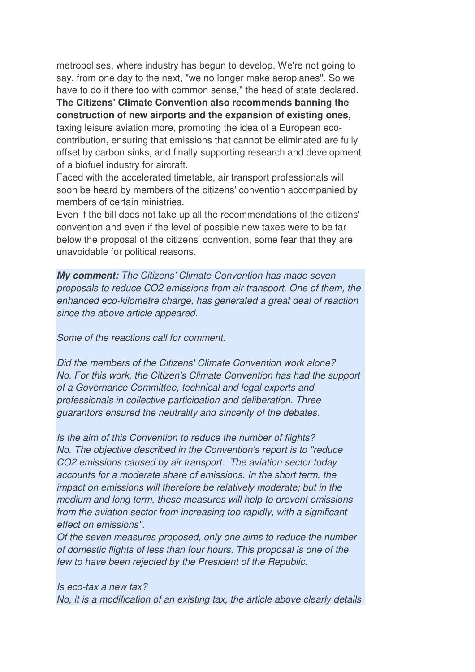metropolises, where industry has begun to develop. We're not going to say, from one day to the next, "we no longer make aeroplanes". So we have to do it there too with common sense," the head of state declared.

**The Citizens' Climate Convention also recommends banning the construction of new airports and the expansion of existing ones**, taxing leisure aviation more, promoting the idea of a European ecocontribution, ensuring that emissions that cannot be eliminated are fully offset by carbon sinks, and finally supporting research and development of a biofuel industry for aircraft.

Faced with the accelerated timetable, air transport professionals will soon be heard by members of the citizens' convention accompanied by members of certain ministries.

Even if the bill does not take up all the recommendations of the citizens' convention and even if the level of possible new taxes were to be far below the proposal of the citizens' convention, some fear that they are unavoidable for political reasons.

*My comment: The Citizens' Climate Convention has made seven proposals to reduce CO2 emissions from air transport. One of them, the enhanced eco-kilometre charge, has generated a great deal of reaction since the above article appeared.* 

*Some of the reactions call for comment.* 

*Did the members of the Citizens' Climate Convention work alone? No. For this work, the Citizen's Climate Convention has had the support of a Governance Committee, technical and legal experts and professionals in collective participation and deliberation. Three guarantors ensured the neutrality and sincerity of the debates.* 

*Is the aim of this Convention to reduce the number of flights? No. The objective described in the Convention's report is to "reduce CO2 emissions caused by air transport. The aviation sector today accounts for a moderate share of emissions. In the short term, the impact on emissions will therefore be relatively moderate; but in the medium and long term, these measures will help to prevent emissions from the aviation sector from increasing too rapidly, with a significant effect on emissions".* 

*Of the seven measures proposed, only one aims to reduce the number of domestic flights of less than four hours. This proposal is one of the few to have been rejected by the President of the Republic.* 

*Is eco-tax a new tax? No, it is a modification of an existing tax, the article above clearly details*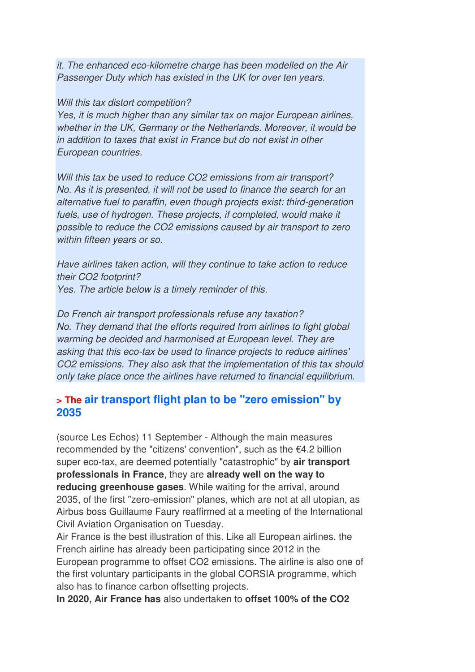*it. The enhanced eco-kilometre charge has been modelled on the Air Passenger Duty which has existed in the UK for over ten years.* 

#### *Will this tax distort competition?*

*Yes, it is much higher than any similar tax on major European airlines, whether in the UK, Germany or the Netherlands. Moreover, it would be in addition to taxes that exist in France but do not exist in other European countries.* 

*Will this tax be used to reduce CO2 emissions from air transport? No. As it is presented, it will not be used to finance the search for an alternative fuel to paraffin, even though projects exist: third-generation*  fuels, use of hydrogen. These projects, if completed, would make it *possible to reduce the CO2 emissions caused by air transport to zero within fifteen years or so.* 

*Have airlines taken action, will they continue to take action to reduce their CO2 footprint? Yes. The article below is a timely reminder of this.* 

*Do French air transport professionals refuse any taxation? No. They demand that the efforts required from airlines to fight global warming be decided and harmonised at European level. They are asking that this eco-tax be used to finance projects to reduce airlines' CO2 emissions. They also ask that the implementation of this tax should only take place once the airlines have returned to financial equilibrium.* 

#### **> The air transport flight plan to be "zero emission" by 2035**

(source Les Echos) 11 September - Although the main measures recommended by the "citizens' convention", such as the €4.2 billion super eco-tax, are deemed potentially "catastrophic" by **air transport professionals in France**, they are **already well on the way to reducing greenhouse gases**. While waiting for the arrival, around 2035, of the first "zero-emission" planes, which are not at all utopian, as Airbus boss Guillaume Faury reaffirmed at a meeting of the International Civil Aviation Organisation on Tuesday.

Air France is the best illustration of this. Like all European airlines, the French airline has already been participating since 2012 in the European programme to offset CO2 emissions. The airline is also one of the first voluntary participants in the global CORSIA programme, which also has to finance carbon offsetting projects.

**In 2020, Air France has** also undertaken to **offset 100% of the CO2**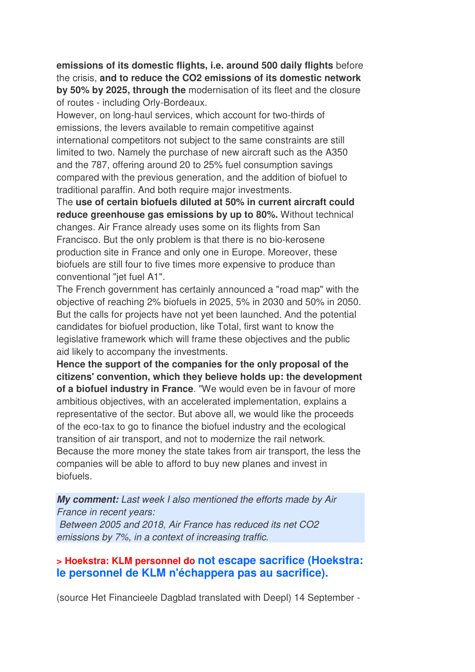**emissions of its domestic flights, i.e. around 500 daily flights** before the crisis, **and to reduce the CO2 emissions of its domestic network by 50% by 2025, through the** modernisation of its fleet and the closure of routes - including Orly-Bordeaux.

However, on long-haul services, which account for two-thirds of emissions, the levers available to remain competitive against international competitors not subject to the same constraints are still limited to two. Namely the purchase of new aircraft such as the A350 and the 787, offering around 20 to 25% fuel consumption savings compared with the previous generation, and the addition of biofuel to traditional paraffin. And both require major investments.

The **use of certain biofuels diluted at 50% in current aircraft could reduce greenhouse gas emissions by up to 80%.** Without technical changes. Air France already uses some on its flights from San Francisco. But the only problem is that there is no bio-kerosene production site in France and only one in Europe. Moreover, these biofuels are still four to five times more expensive to produce than conventional "jet fuel A1".

The French government has certainly announced a "road map" with the objective of reaching 2% biofuels in 2025, 5% in 2030 and 50% in 2050. But the calls for projects have not yet been launched. And the potential candidates for biofuel production, like Total, first want to know the legislative framework which will frame these objectives and the public aid likely to accompany the investments.

**Hence the support of the companies for the only proposal of the citizens' convention, which they believe holds up: the development of a biofuel industry in France**. "We would even be in favour of more ambitious objectives, with an accelerated implementation, explains a representative of the sector. But above all, we would like the proceeds of the eco-tax to go to finance the biofuel industry and the ecological transition of air transport, and not to modernize the rail network. Because the more money the state takes from air transport, the less the companies will be able to afford to buy new planes and invest in biofuels.

*My comment: Last week I also mentioned the efforts made by Air France in recent years: Between 2005 and 2018, Air France has reduced its net CO2 emissions by 7%, in a context of increasing traffic.*

#### **> Hoekstra: KLM personnel do not escape sacrifice (Hoekstra: le personnel de KLM n'échappera pas au sacrifice).**

(source Het Financieele Dagblad translated with Deepl) 14 September -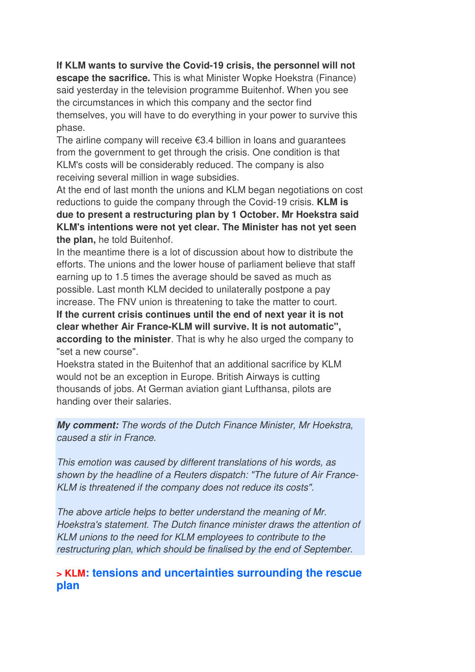**If KLM wants to survive the Covid-19 crisis, the personnel will not** 

**escape the sacrifice.** This is what Minister Wopke Hoekstra (Finance) said yesterday in the television programme Buitenhof. When you see the circumstances in which this company and the sector find themselves, you will have to do everything in your power to survive this phase.

The airline company will receive  $\epsilon$ 3.4 billion in loans and quarantees from the government to get through the crisis. One condition is that KLM's costs will be considerably reduced. The company is also receiving several million in wage subsidies.

At the end of last month the unions and KLM began negotiations on cost reductions to guide the company through the Covid-19 crisis. **KLM is due to present a restructuring plan by 1 October. Mr Hoekstra said KLM's intentions were not yet clear. The Minister has not yet seen the plan,** he told Buitenhof.

In the meantime there is a lot of discussion about how to distribute the efforts. The unions and the lower house of parliament believe that staff earning up to 1.5 times the average should be saved as much as possible. Last month KLM decided to unilaterally postpone a pay increase. The FNV union is threatening to take the matter to court. **If the current crisis continues until the end of next year it is not clear whether Air France-KLM will survive. It is not automatic",** 

**according to the minister**. That is why he also urged the company to "set a new course".

Hoekstra stated in the Buitenhof that an additional sacrifice by KLM would not be an exception in Europe. British Airways is cutting thousands of jobs. At German aviation giant Lufthansa, pilots are handing over their salaries.

*My comment: The words of the Dutch Finance Minister, Mr Hoekstra, caused a stir in France.* 

*This emotion was caused by different translations of his words, as shown by the headline of a Reuters dispatch: "The future of Air France-KLM is threatened if the company does not reduce its costs".* 

*The above article helps to better understand the meaning of Mr. Hoekstra's statement. The Dutch finance minister draws the attention of KLM unions to the need for KLM employees to contribute to the restructuring plan, which should be finalised by the end of September.* 

#### **> KLM: tensions and uncertainties surrounding the rescue plan**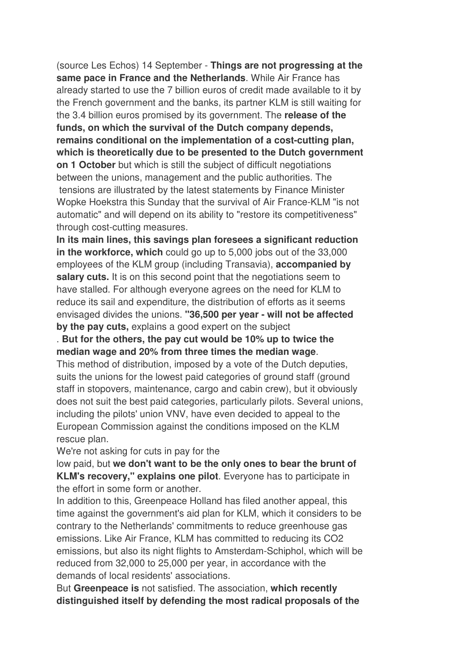(source Les Echos) 14 September - **Things are not progressing at the same pace in France and the Netherlands**. While Air France has already started to use the 7 billion euros of credit made available to it by the French government and the banks, its partner KLM is still waiting for the 3.4 billion euros promised by its government. The **release of the funds, on which the survival of the Dutch company depends, remains conditional on the implementation of a cost-cutting plan, which is theoretically due to be presented to the Dutch government on 1 October** but which is still the subject of difficult negotiations between the unions, management and the public authorities. The tensions are illustrated by the latest statements by Finance Minister Wopke Hoekstra this Sunday that the survival of Air France-KLM "is not automatic" and will depend on its ability to "restore its competitiveness" through cost-cutting measures.

**In its main lines, this savings plan foresees a significant reduction in the workforce, which** could go up to 5,000 jobs out of the 33,000 employees of the KLM group (including Transavia), **accompanied by salary cuts.** It is on this second point that the negotiations seem to have stalled. For although everyone agrees on the need for KLM to reduce its sail and expenditure, the distribution of efforts as it seems envisaged divides the unions. **"36,500 per year - will not be affected by the pay cuts,** explains a good expert on the subject

. **But for the others, the pay cut would be 10% up to twice the median wage and 20% from three times the median wage**.

This method of distribution, imposed by a vote of the Dutch deputies, suits the unions for the lowest paid categories of ground staff (ground staff in stopovers, maintenance, cargo and cabin crew), but it obviously does not suit the best paid categories, particularly pilots. Several unions, including the pilots' union VNV, have even decided to appeal to the European Commission against the conditions imposed on the KLM rescue plan.

We're not asking for cuts in pay for the

low paid, but **we don't want to be the only ones to bear the brunt of KLM's recovery," explains one pilot**. Everyone has to participate in the effort in some form or another.

In addition to this, Greenpeace Holland has filed another appeal, this time against the government's aid plan for KLM, which it considers to be contrary to the Netherlands' commitments to reduce greenhouse gas emissions. Like Air France, KLM has committed to reducing its CO2 emissions, but also its night flights to Amsterdam-Schiphol, which will be reduced from 32,000 to 25,000 per year, in accordance with the demands of local residents' associations.

But **Greenpeace is** not satisfied. The association, **which recently distinguished itself by defending the most radical proposals of the**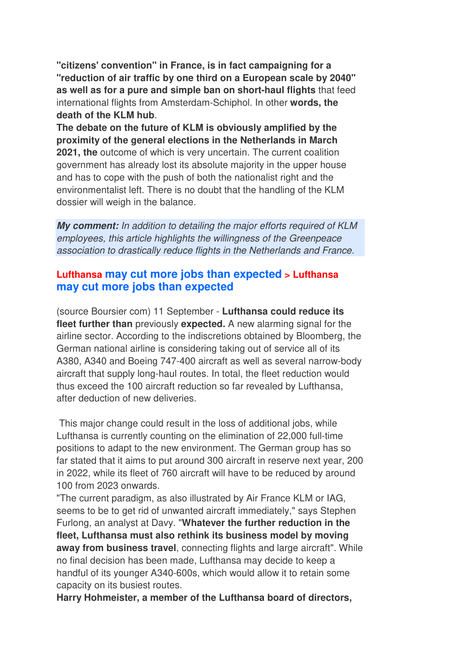**"citizens' convention" in France, is in fact campaigning for a "reduction of air traffic by one third on a European scale by 2040" as well as for a pure and simple ban on short-haul flights** that feed international flights from Amsterdam-Schiphol. In other **words, the death of the KLM hub**.

**The debate on the future of KLM is obviously amplified by the proximity of the general elections in the Netherlands in March 2021, the** outcome of which is very uncertain. The current coalition government has already lost its absolute majority in the upper house and has to cope with the push of both the nationalist right and the environmentalist left. There is no doubt that the handling of the KLM dossier will weigh in the balance.

*My comment: In addition to detailing the major efforts required of KLM employees, this article highlights the willingness of the Greenpeace association to drastically reduce flights in the Netherlands and France.*

#### **Lufthansa may cut more jobs than expected > Lufthansa may cut more jobs than expected**

(source Boursier com) 11 September - **Lufthansa could reduce its fleet further than** previously **expected.** A new alarming signal for the airline sector. According to the indiscretions obtained by Bloomberg, the German national airline is considering taking out of service all of its A380, A340 and Boeing 747-400 aircraft as well as several narrow-body aircraft that supply long-haul routes. In total, the fleet reduction would thus exceed the 100 aircraft reduction so far revealed by Lufthansa, after deduction of new deliveries.

 This major change could result in the loss of additional jobs, while Lufthansa is currently counting on the elimination of 22,000 full-time positions to adapt to the new environment. The German group has so far stated that it aims to put around 300 aircraft in reserve next year, 200 in 2022, while its fleet of 760 aircraft will have to be reduced by around 100 from 2023 onwards.

"The current paradigm, as also illustrated by Air France KLM or IAG, seems to be to get rid of unwanted aircraft immediately," says Stephen Furlong, an analyst at Davy. "**Whatever the further reduction in the fleet, Lufthansa must also rethink its business model by moving**  away from business travel, connecting flights and large aircraft". While no final decision has been made, Lufthansa may decide to keep a handful of its younger A340-600s, which would allow it to retain some capacity on its busiest routes.

**Harry Hohmeister, a member of the Lufthansa board of directors,**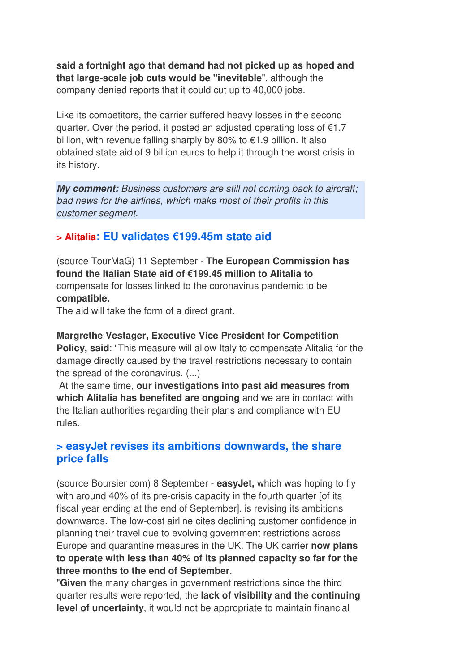**said a fortnight ago that demand had not picked up as hoped and that large-scale job cuts would be "inevitable**", although the company denied reports that it could cut up to 40,000 jobs.

Like its competitors, the carrier suffered heavy losses in the second quarter. Over the period, it posted an adjusted operating loss of €1.7 billion, with revenue falling sharply by 80% to €1.9 billion. It also obtained state aid of 9 billion euros to help it through the worst crisis in its history.

*My comment: Business customers are still not coming back to aircraft; bad news for the airlines, which make most of their profits in this customer segment.*

#### **> Alitalia: EU validates €199.45m state aid**

(source TourMaG) 11 September - **The European Commission has found the Italian State aid of €199.45 million to Alitalia to** compensate for losses linked to the coronavirus pandemic to be **compatible.** 

The aid will take the form of a direct grant.

#### **Margrethe Vestager, Executive Vice President for Competition**

**Policy, said**: "This measure will allow Italy to compensate Alitalia for the damage directly caused by the travel restrictions necessary to contain the spread of the coronavirus. (...)

 At the same time, **our investigations into past aid measures from which Alitalia has benefited are ongoing** and we are in contact with the Italian authorities regarding their plans and compliance with EU rules.

#### **> easyJet revises its ambitions downwards, the share price falls**

(source Boursier com) 8 September - **easyJet,** which was hoping to fly with around 40% of its pre-crisis capacity in the fourth quarter [of its fiscal year ending at the end of September], is revising its ambitions downwards. The low-cost airline cites declining customer confidence in planning their travel due to evolving government restrictions across Europe and quarantine measures in the UK. The UK carrier **now plans to operate with less than 40% of its planned capacity so far for the three months to the end of September**.

"**Given** the many changes in government restrictions since the third quarter results were reported, the **lack of visibility and the continuing level of uncertainty**, it would not be appropriate to maintain financial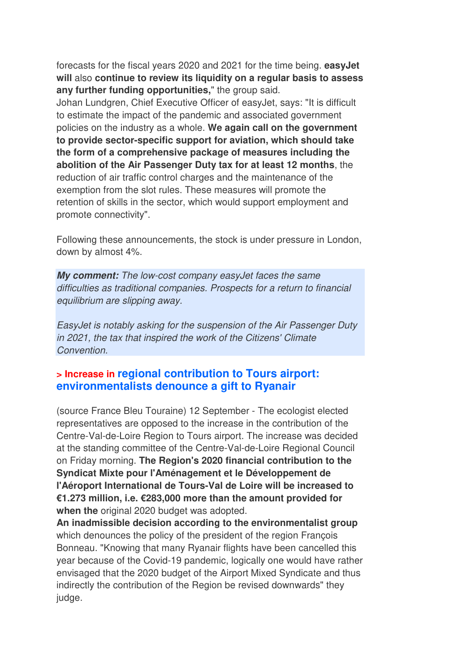forecasts for the fiscal years 2020 and 2021 for the time being. **easyJet will** also **continue to review its liquidity on a regular basis to assess any further funding opportunities,**" the group said.

Johan Lundgren, Chief Executive Officer of easyJet, says: "It is difficult to estimate the impact of the pandemic and associated government policies on the industry as a whole. **We again call on the government to provide sector-specific support for aviation, which should take the form of a comprehensive package of measures including the abolition of the Air Passenger Duty tax for at least 12 months**, the reduction of air traffic control charges and the maintenance of the exemption from the slot rules. These measures will promote the retention of skills in the sector, which would support employment and promote connectivity".

Following these announcements, the stock is under pressure in London, down by almost 4%.

*My comment: The low-cost company easyJet faces the same difficulties as traditional companies. Prospects for a return to financial equilibrium are slipping away.* 

*EasyJet is notably asking for the suspension of the Air Passenger Duty in 2021, the tax that inspired the work of the Citizens' Climate Convention.*

#### **> Increase in regional contribution to Tours airport: environmentalists denounce a gift to Ryanair**

(source France Bleu Touraine) 12 September - The ecologist elected representatives are opposed to the increase in the contribution of the Centre-Val-de-Loire Region to Tours airport. The increase was decided at the standing committee of the Centre-Val-de-Loire Regional Council on Friday morning. **The Region's 2020 financial contribution to the Syndicat Mixte pour l'Aménagement et le Développement de l'Aéroport International de Tours-Val de Loire will be increased to €1.273 million, i.e. €283,000 more than the amount provided for when the** original 2020 budget was adopted.

**An inadmissible decision according to the environmentalist group** which denounces the policy of the president of the region François Bonneau. "Knowing that many Ryanair flights have been cancelled this year because of the Covid-19 pandemic, logically one would have rather envisaged that the 2020 budget of the Airport Mixed Syndicate and thus indirectly the contribution of the Region be revised downwards" they judge.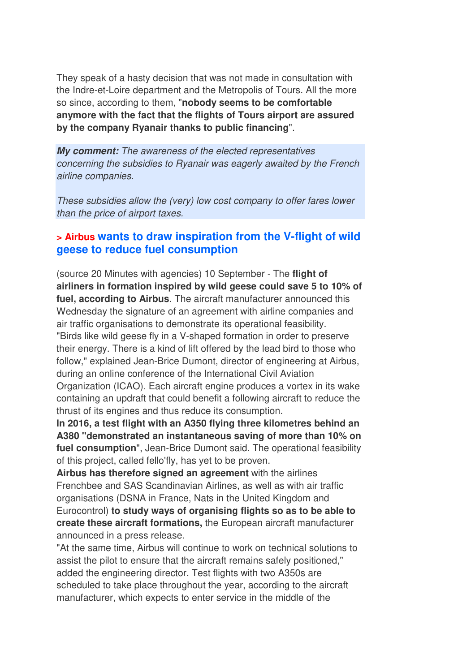They speak of a hasty decision that was not made in consultation with the Indre-et-Loire department and the Metropolis of Tours. All the more so since, according to them, "**nobody seems to be comfortable anymore with the fact that the flights of Tours airport are assured by the company Ryanair thanks to public financing**".

*My comment: The awareness of the elected representatives concerning the subsidies to Ryanair was eagerly awaited by the French airline companies.* 

*These subsidies allow the (very) low cost company to offer fares lower than the price of airport taxes.* 

#### **> Airbus wants to draw inspiration from the V-flight of wild geese to reduce fuel consumption**

(source 20 Minutes with agencies) 10 September - The **flight of airliners in formation inspired by wild geese could save 5 to 10% of fuel, according to Airbus**. The aircraft manufacturer announced this Wednesday the signature of an agreement with airline companies and air traffic organisations to demonstrate its operational feasibility. "Birds like wild geese fly in a V-shaped formation in order to preserve their energy. There is a kind of lift offered by the lead bird to those who follow," explained Jean-Brice Dumont, director of engineering at Airbus, during an online conference of the International Civil Aviation Organization (ICAO). Each aircraft engine produces a vortex in its wake containing an updraft that could benefit a following aircraft to reduce the thrust of its engines and thus reduce its consumption.

**In 2016, a test flight with an A350 flying three kilometres behind an A380 "demonstrated an instantaneous saving of more than 10% on fuel consumption**", Jean-Brice Dumont said. The operational feasibility of this project, called fello'fly, has yet to be proven.

**Airbus has therefore signed an agreement** with the airlines Frenchbee and SAS Scandinavian Airlines, as well as with air traffic organisations (DSNA in France, Nats in the United Kingdom and Eurocontrol) **to study ways of organising flights so as to be able to create these aircraft formations,** the European aircraft manufacturer announced in a press release.

"At the same time, Airbus will continue to work on technical solutions to assist the pilot to ensure that the aircraft remains safely positioned," added the engineering director. Test flights with two A350s are scheduled to take place throughout the year, according to the aircraft manufacturer, which expects to enter service in the middle of the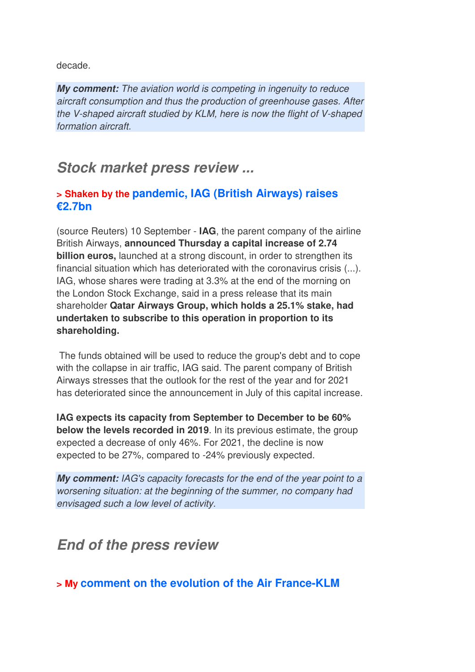decade.

*My comment: The aviation world is competing in ingenuity to reduce aircraft consumption and thus the production of greenhouse gases. After the V-shaped aircraft studied by KLM, here is now the flight of V-shaped formation aircraft.*

## *Stock market press review ...*

### **> Shaken by the pandemic, IAG (British Airways) raises €2.7bn**

(source Reuters) 10 September - **IAG**, the parent company of the airline British Airways, **announced Thursday a capital increase of 2.74 billion euros,** launched at a strong discount, in order to strengthen its financial situation which has deteriorated with the coronavirus crisis (...). IAG, whose shares were trading at 3.3% at the end of the morning on the London Stock Exchange, said in a press release that its main shareholder **Qatar Airways Group, which holds a 25.1% stake, had undertaken to subscribe to this operation in proportion to its shareholding.** 

 The funds obtained will be used to reduce the group's debt and to cope with the collapse in air traffic, IAG said. The parent company of British Airways stresses that the outlook for the rest of the year and for 2021 has deteriorated since the announcement in July of this capital increase.

**IAG expects its capacity from September to December to be 60% below the levels recorded in 2019**. In its previous estimate, the group expected a decrease of only 46%. For 2021, the decline is now expected to be 27%, compared to -24% previously expected.

*My comment: IAG's capacity forecasts for the end of the year point to a worsening situation: at the beginning of the summer, no company had envisaged such a low level of activity.*

## *End of the press review*

**> My comment on the evolution of the Air France-KLM**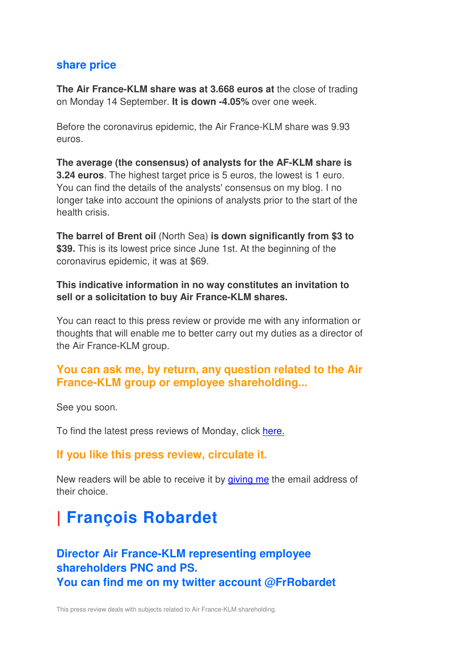#### **share price**

**The Air France-KLM share was at 3.668 euros at** the close of trading on Monday 14 September. **It is down -4.05%** over one week.

Before the coronavirus epidemic, the Air France-KLM share was 9.93 euros.

**The average (the consensus) of analysts for the AF-KLM share is 3.24 euros**. The highest target price is 5 euros, the lowest is 1 euro. You can find the details of the analysts' consensus on my blog. I no longer take into account the opinions of analysts prior to the start of the health crisis.

**The barrel of Brent oil** (North Sea) **is down significantly from \$3 to \$39.** This is its lowest price since June 1st. At the beginning of the coronavirus epidemic, it was at \$69.

**This indicative information in no way constitutes an invitation to sell or a solicitation to buy Air France-KLM shares.**

You can react to this press review or provide me with any information or thoughts that will enable me to better carry out my duties as a director of the Air France-KLM group.

### **You can ask me, by return, any question related to the Air France-KLM group or employee shareholding...**

See you soon.

To find the latest press reviews of Monday, click here.

#### **If you like this press review, circulate it.**

New readers will be able to receive it by giving me the email address of their choice.

# **| François Robardet**

### **Director Air France-KLM representing employee shareholders PNC and PS. You can find me on my twitter account @FrRobardet**